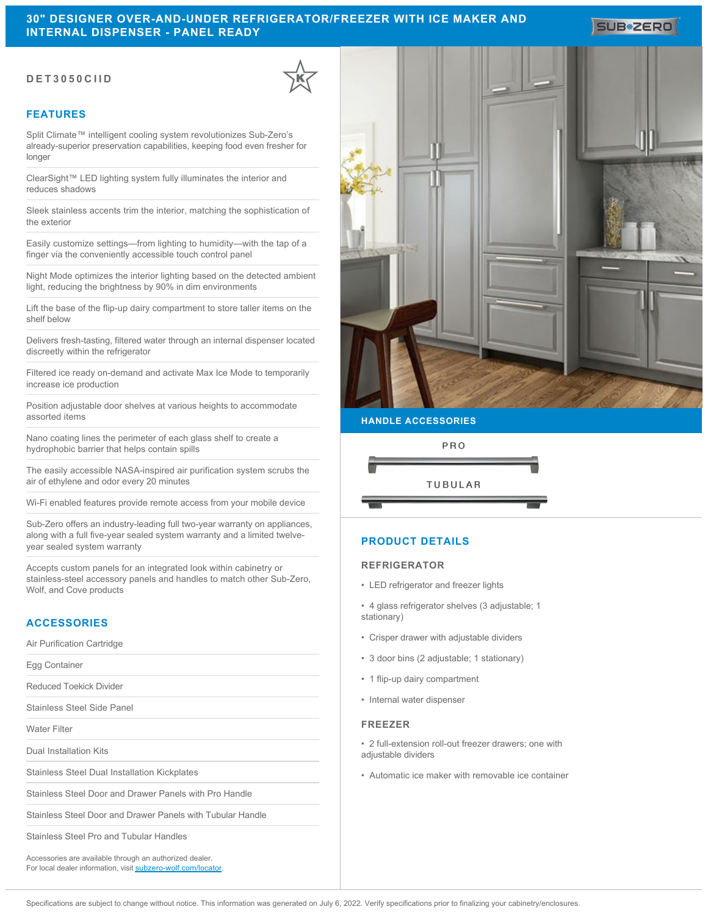# **30" DESIGNER OVER-AND-UNDER REFRIGERATOR/FREEZER WITH ICE MAKER AND INTERNAL DISPENSER - PANEL READY**

## **DET3050CIID**

## **FEATURES**

Split Climate™ intelligent cooling system revolutionizes Sub-Zero's already-superior preservation capabilities, keeping food even fresher for longer

ClearSight™ LED lighting system fully illuminates the interior and reduces shadows

Sleek stainless accents trim the interior, matching the sophistication of the exterior

Easily customize settings—from lighting to humidity—with the tap of a finger via the conveniently accessible touch control panel

Night Mode optimizes the interior lighting based on the detected ambient light, reducing the brightness by 90% in dim environments

Lift the base of the flip-up dairy compartment to store taller items on the shelf below

Delivers fresh-tasting, filtered water through an internal dispenser located discreetly within the refrigerator

Filtered ice ready on-demand and activate Max Ice Mode to temporarily increase ice production

Position adjustable door shelves at various heights to accommodate assorted items

Nano coating lines the perimeter of each glass shelf to create a hydrophobic barrier that helps contain spills

The easily accessible NASA-inspired air purification system scrubs the air of ethylene and odor every 20 minutes

Wi-Fi enabled features provide remote access from your mobile device

Sub-Zero offers an industry-leading full two-year warranty on appliances, along with a full five-year sealed system warranty and a limited twelveyear sealed system warranty

Accepts custom panels for an integrated look within cabinetry or stainless-steel accessory panels and handles to match other Sub-Zero, Wolf, and Cove products

## **ACCESSORIES**

Air Purification Cartridge

Egg Container

Reduced Toekick Divider

Stainless Steel Side Panel

Water Filter

Dual Installation Kits

Stainless Steel Dual Installation Kickplates

Stainless Steel Door and Drawer Panels with Pro Handle

Stainless Steel Door and Drawer Panels with Tubular Handle

Stainless Steel Pro and Tubular Handles

Accessories are available through an authorized dealer. For local dealer information, visit [subzero-wolf.com/locator.](http://www.subzero-wolf.com/locator)



**SUB#ZERO** 

#### **HANDLE ACCESSORIES**



## **PRODUCT DETAILS**

## **REFRIGERATOR**

• LED refrigerator and freezer lights

• 4 glass refrigerator shelves (3 adjustable; 1 stationary)

- Crisper drawer with adjustable dividers
- 3 door bins (2 adjustable; 1 stationary)
- 1 flip-up dairy compartment
- Internal water dispenser

#### **FREEZER**

- 2 full-extension roll-out freezer drawers; one with adjustable dividers
- Automatic ice maker with removable ice container